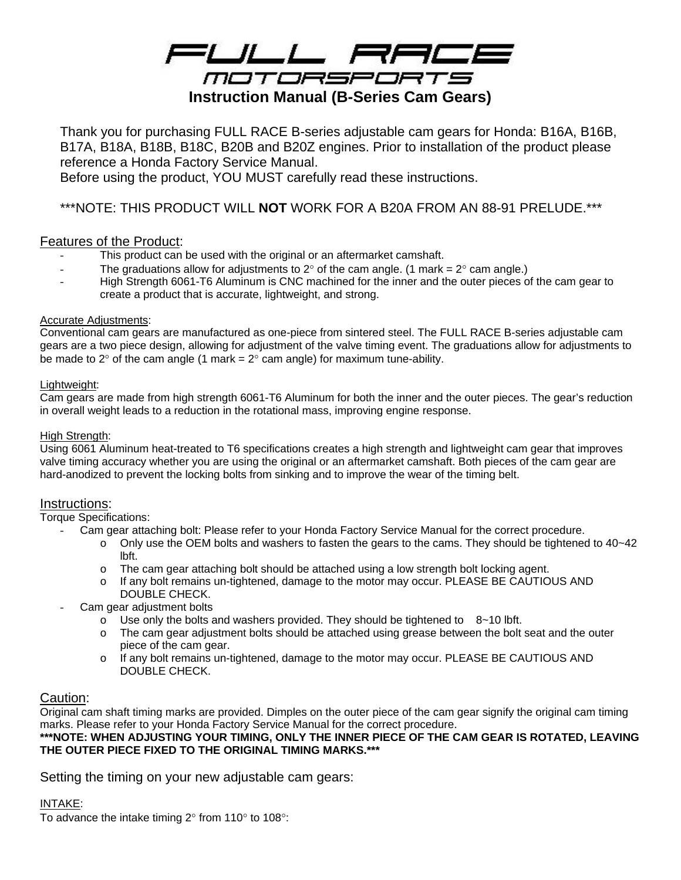

Thank you for purchasing FULL RACE B-series adjustable cam gears for Honda: B16A, B16B, B17A, B18A, B18B, B18C, B20B and B20Z engines. Prior to installation of the product please reference a Honda Factory Service Manual.

Before using the product, YOU MUST carefully read these instructions.

\*\*\*NOTE: THIS PRODUCT WILL **NOT** WORK FOR A B20A FROM AN 88-91 PRELUDE.\*\*\*

## Features of the Product:

- This product can be used with the original or an aftermarket camshaft.
- The graduations allow for adjustments to 2 $\degree$  of the cam angle. (1 mark = 2 $\degree$  cam angle.)
- High Strength 6061-T6 Aluminum is CNC machined for the inner and the outer pieces of the cam gear to create a product that is accurate, lightweight, and strong.

## Accurate Adjustments:

Conventional cam gears are manufactured as one-piece from sintered steel. The FULL RACE B-series adjustable cam gears are a two piece design, allowing for adjustment of the valve timing event. The graduations allow for adjustments to be made to 2 $\degree$  of the cam angle (1 mark = 2 $\degree$  cam angle) for maximum tune-ability.

## Lightweight:

Cam gears are made from high strength 6061-T6 Aluminum for both the inner and the outer pieces. The gear's reduction in overall weight leads to a reduction in the rotational mass, improving engine response.

## High Strength:

Using 6061 Aluminum heat-treated to T6 specifications creates a high strength and lightweight cam gear that improves valve timing accuracy whether you are using the original or an aftermarket camshaft. Both pieces of the cam gear are hard-anodized to prevent the locking bolts from sinking and to improve the wear of the timing belt.

## Instructions:

Torque Specifications:

- Cam gear attaching bolt: Please refer to your Honda Factory Service Manual for the correct procedure.

- $\circ$  Only use the OEM bolts and washers to fasten the gears to the cams. They should be tightened to 40~42 lbft.
- o The cam gear attaching bolt should be attached using a low strength bolt locking agent.
- o If any bolt remains un-tightened, damage to the motor may occur. PLEASE BE CAUTIOUS AND DOUBLE CHECK.
- Cam gear adjustment bolts
	- $\circ$  Use only the bolts and washers provided. They should be tightened to  $8~10$  lbft.
	- o The cam gear adjustment bolts should be attached using grease between the bolt seat and the outer piece of the cam gear.
	- o If any bolt remains un-tightened, damage to the motor may occur. PLEASE BE CAUTIOUS AND DOUBLE CHECK.

## Caution:

Original cam shaft timing marks are provided. Dimples on the outer piece of the cam gear signify the original cam timing marks. Please refer to your Honda Factory Service Manual for the correct procedure.

**\*\*\*NOTE: WHEN ADJUSTING YOUR TIMING, ONLY THE INNER PIECE OF THE CAM GEAR IS ROTATED, LEAVING THE OUTER PIECE FIXED TO THE ORIGINAL TIMING MARKS.\*\*\*** 

Setting the timing on your new adjustable cam gears:

## INTAKE:

To advance the intake timing  $2^{\circ}$  from 110 $^{\circ}$  to 108 $^{\circ}$ :